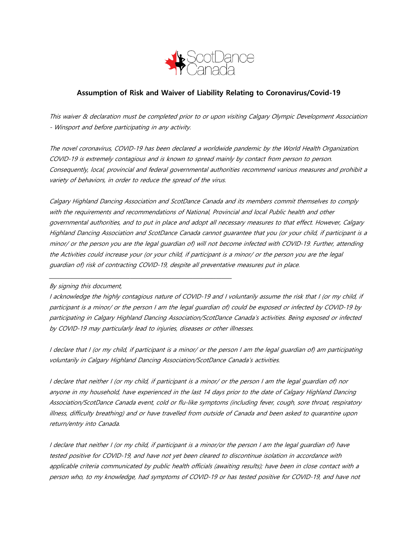

## **Assumption of Risk and Waiver of Liability Relating to Coronavirus/Covid-19**

This waiver & declaration must be completed prior to or upon visiting Calgary Olympic Development Association - Winsport and before participating in any activity.

The novel coronavirus, COVID-19 has been declared a worldwide pandemic by the World Health Organization. COVID-19 is extremely contagious and is known to spread mainly by contact from person to person. Consequently, local, provincial and federal governmental authorities recommend various measures and prohibit a variety of behaviors, in order to reduce the spread of the virus.

Calgary Highland Dancing Association and ScotDance Canada and its members commit themselves to comply with the requirements and recommendations of National, Provincial and local Public health and other governmental authorities, and to put in place and adopt all necessary measures to that effect. However, Calgary Highland Dancing Association and ScotDance Canada cannot guarantee that you (or your child, if participant is a minor/ or the person you are the legal guardian of) will not become infected with COVID-19. Further, attending the Activities could increase your (or your child, if participant is a minor/ or the person you are the legal guardian of) risk of contracting COVID-19, despite all preventative measures put in place.

## By signing this document,

I acknowledge the highly contagious nature of COVID-19 and I voluntarily assume the risk that I (or my child, if participant is a minor/ or the person I am the legal guardian of) could be exposed or infected by COVID-19 by participating in Calgary Highland Dancing Association/ScotDance Canada's activities. Being exposed or infected by COVID-19 may particularly lead to injuries, diseases or other illnesses.

I declare that I (or my child, if participant is a minor/ or the person I am the legal guardian of) am participating voluntarily in Calgary Highland Dancing Association/ScotDance Canada's activities.

I declare that neither I (or my child, if participant is a minor/ or the person I am the legal guardian of) nor anyone in my household, have experienced in the last 14 days prior to the date of Calgary Highland Dancing Association/ScotDance Canada event, cold or flu-like symptoms (including fever, cough, sore throat, respiratory illness, difficulty breathing) and or have travelled from outside of Canada and been asked to quarantine upon return/entry into Canada.

I declare that neither I (or my child, if participant is a minor/or the person I am the legal guardian of) have tested positive for COVID-19, and have not yet been cleared to discontinue isolation in accordance with applicable criteria communicated by public health officials (awaiting results); have been in close contact with a person who, to my knowledge, had symptoms of COVID-19 or has tested positive for COVID-19, and have not